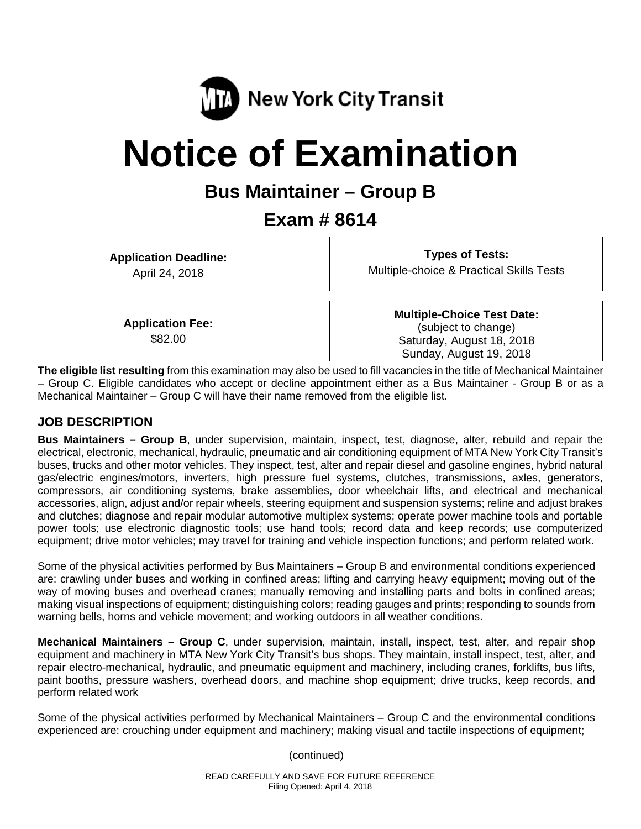

# **Notice of Examination**

# **Bus Maintainer – Group B**

# **Exam # 8614**

**Application Deadline:**  April 24, 2018

**Types of Tests:**  Multiple-choice & Practical Skills Tests

**Application Fee:**  \$82.00

**Multiple-Choice Test Date:** (subject to change) Saturday, August 18, 2018 Sunday, August 19, 2018

**The eligible list resulting** from this examination may also be used to fill vacancies in the title of Mechanical Maintainer – Group C. Eligible candidates who accept or decline appointment either as a Bus Maintainer - Group B or as a Mechanical Maintainer – Group C will have their name removed from the eligible list.

#### **JOB DESCRIPTION**

**Bus Maintainers – Group B**, under supervision, maintain, inspect, test, diagnose, alter, rebuild and repair the electrical, electronic, mechanical, hydraulic, pneumatic and air conditioning equipment of MTA New York City Transit's buses, trucks and other motor vehicles. They inspect, test, alter and repair diesel and gasoline engines, hybrid natural gas/electric engines/motors, inverters, high pressure fuel systems, clutches, transmissions, axles, generators, compressors, air conditioning systems, brake assemblies, door wheelchair lifts, and electrical and mechanical accessories, align, adjust and/or repair wheels, steering equipment and suspension systems; reline and adjust brakes and clutches; diagnose and repair modular automotive multiplex systems; operate power machine tools and portable power tools; use electronic diagnostic tools; use hand tools; record data and keep records; use computerized equipment; drive motor vehicles; may travel for training and vehicle inspection functions; and perform related work.

Some of the physical activities performed by Bus Maintainers – Group B and environmental conditions experienced are: crawling under buses and working in confined areas; lifting and carrying heavy equipment; moving out of the way of moving buses and overhead cranes; manually removing and installing parts and bolts in confined areas; making visual inspections of equipment; distinguishing colors; reading gauges and prints; responding to sounds from warning bells, horns and vehicle movement; and working outdoors in all weather conditions.

**Mechanical Maintainers – Group C**, under supervision, maintain, install, inspect, test, alter, and repair shop equipment and machinery in MTA New York City Transit's bus shops. They maintain, install inspect, test, alter, and repair electro-mechanical, hydraulic, and pneumatic equipment and machinery, including cranes, forklifts, bus lifts, paint booths, pressure washers, overhead doors, and machine shop equipment; drive trucks, keep records, and perform related work

Some of the physical activities performed by Mechanical Maintainers – Group C and the environmental conditions experienced are: crouching under equipment and machinery; making visual and tactile inspections of equipment;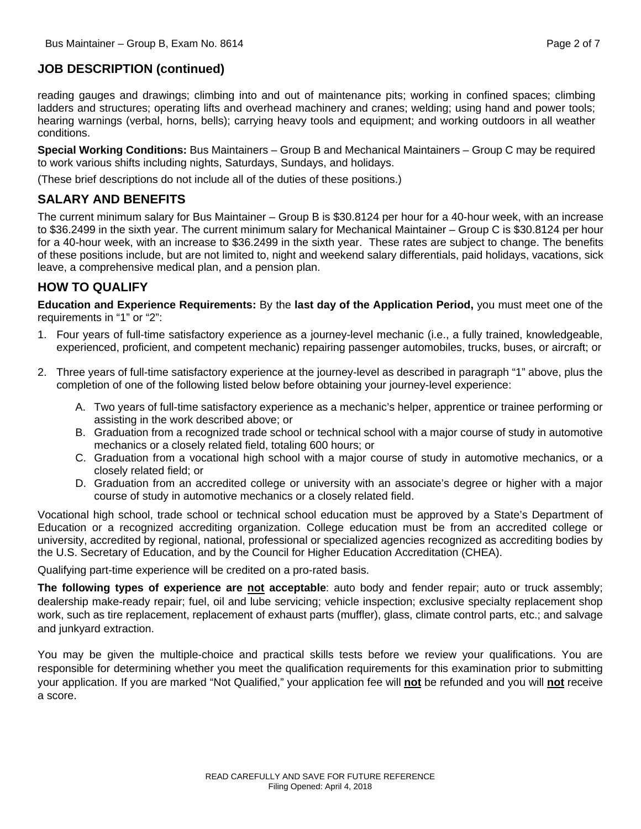#### **JOB DESCRIPTION (continued)**

reading gauges and drawings; climbing into and out of maintenance pits; working in confined spaces; climbing ladders and structures; operating lifts and overhead machinery and cranes; welding; using hand and power tools; hearing warnings (verbal, horns, bells); carrying heavy tools and equipment; and working outdoors in all weather conditions.

**Special Working Conditions:** Bus Maintainers – Group B and Mechanical Maintainers – Group C may be required to work various shifts including nights, Saturdays, Sundays, and holidays.

(These brief descriptions do not include all of the duties of these positions.)

#### **SALARY AND BENEFITS**

The current minimum salary for Bus Maintainer – Group B is \$30.8124 per hour for a 40-hour week, with an increase to \$36.2499 in the sixth year. The current minimum salary for Mechanical Maintainer – Group C is \$30.8124 per hour for a 40-hour week, with an increase to \$36.2499 in the sixth year. These rates are subject to change. The benefits of these positions include, but are not limited to, night and weekend salary differentials, paid holidays, vacations, sick leave, a comprehensive medical plan, and a pension plan.

#### **HOW TO QUALIFY**

**Education and Experience Requirements:** By the **last day of the Application Period,** you must meet one of the requirements in "1" or "2":

- 1. Four years of full-time satisfactory experience as a journey-level mechanic (i.e., a fully trained, knowledgeable, experienced, proficient, and competent mechanic) repairing passenger automobiles, trucks, buses, or aircraft; or
- 2. Three years of full-time satisfactory experience at the journey-level as described in paragraph "1" above, plus the completion of one of the following listed below before obtaining your journey-level experience:
	- A. Two years of full-time satisfactory experience as a mechanic's helper, apprentice or trainee performing or assisting in the work described above; or
	- B. Graduation from a recognized trade school or technical school with a major course of study in automotive mechanics or a closely related field, totaling 600 hours; or
	- C. Graduation from a vocational high school with a major course of study in automotive mechanics, or a closely related field; or
	- D. Graduation from an accredited college or university with an associate's degree or higher with a major course of study in automotive mechanics or a closely related field.

Vocational high school, trade school or technical school education must be approved by a State's Department of Education or a recognized accrediting organization. College education must be from an accredited college or university, accredited by regional, national, professional or specialized agencies recognized as accrediting bodies by the U.S. Secretary of Education, and by the Council for Higher Education Accreditation (CHEA).

Qualifying part-time experience will be credited on a pro-rated basis.

**The following types of experience are not acceptable**: auto body and fender repair; auto or truck assembly; dealership make-ready repair; fuel, oil and lube servicing; vehicle inspection; exclusive specialty replacement shop work, such as tire replacement, replacement of exhaust parts (muffler), glass, climate control parts, etc.; and salvage and junkyard extraction.

You may be given the multiple-choice and practical skills tests before we review your qualifications. You are responsible for determining whether you meet the qualification requirements for this examination prior to submitting your application. If you are marked "Not Qualified," your application fee will **not** be refunded and you will **not** receive a score.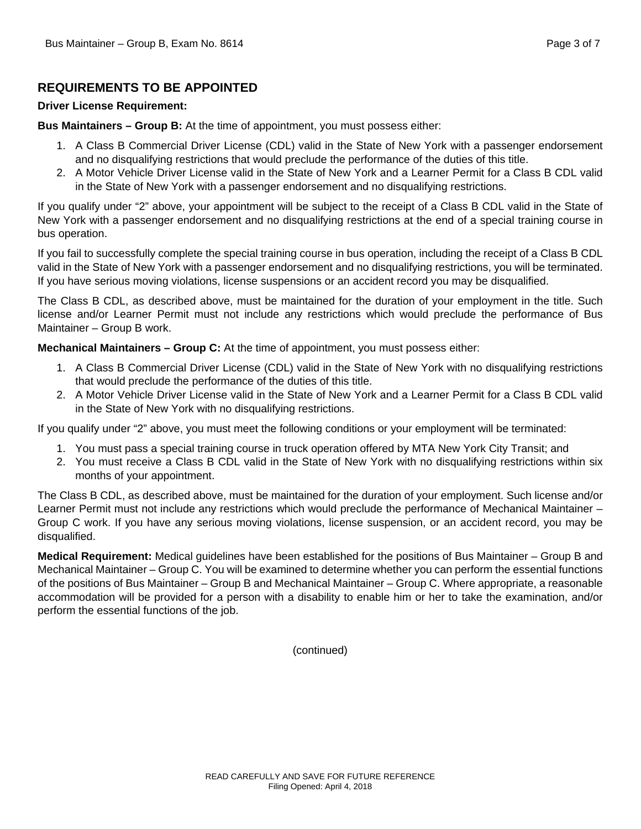#### **REQUIREMENTS TO BE APPOINTED**

#### **Driver License Requirement:**

**Bus Maintainers – Group B:** At the time of appointment, you must possess either:

- 1. A Class B Commercial Driver License (CDL) valid in the State of New York with a passenger endorsement and no disqualifying restrictions that would preclude the performance of the duties of this title.
- 2. A Motor Vehicle Driver License valid in the State of New York and a Learner Permit for a Class B CDL valid in the State of New York with a passenger endorsement and no disqualifying restrictions.

If you qualify under "2" above, your appointment will be subject to the receipt of a Class B CDL valid in the State of New York with a passenger endorsement and no disqualifying restrictions at the end of a special training course in bus operation.

If you fail to successfully complete the special training course in bus operation, including the receipt of a Class B CDL valid in the State of New York with a passenger endorsement and no disqualifying restrictions, you will be terminated. If you have serious moving violations, license suspensions or an accident record you may be disqualified.

The Class B CDL, as described above, must be maintained for the duration of your employment in the title. Such license and/or Learner Permit must not include any restrictions which would preclude the performance of Bus Maintainer – Group B work.

**Mechanical Maintainers – Group C:** At the time of appointment, you must possess either:

- 1. A Class B Commercial Driver License (CDL) valid in the State of New York with no disqualifying restrictions that would preclude the performance of the duties of this title.
- 2. A Motor Vehicle Driver License valid in the State of New York and a Learner Permit for a Class B CDL valid in the State of New York with no disqualifying restrictions.

If you qualify under "2" above, you must meet the following conditions or your employment will be terminated:

- 1. You must pass a special training course in truck operation offered by MTA New York City Transit; and
- 2. You must receive a Class B CDL valid in the State of New York with no disqualifying restrictions within six months of your appointment.

The Class B CDL, as described above, must be maintained for the duration of your employment. Such license and/or Learner Permit must not include any restrictions which would preclude the performance of Mechanical Maintainer – Group C work. If you have any serious moving violations, license suspension, or an accident record, you may be disqualified.

**Medical Requirement:** Medical guidelines have been established for the positions of Bus Maintainer – Group B and Mechanical Maintainer – Group C. You will be examined to determine whether you can perform the essential functions of the positions of Bus Maintainer – Group B and Mechanical Maintainer – Group C. Where appropriate, a reasonable accommodation will be provided for a person with a disability to enable him or her to take the examination, and/or perform the essential functions of the job.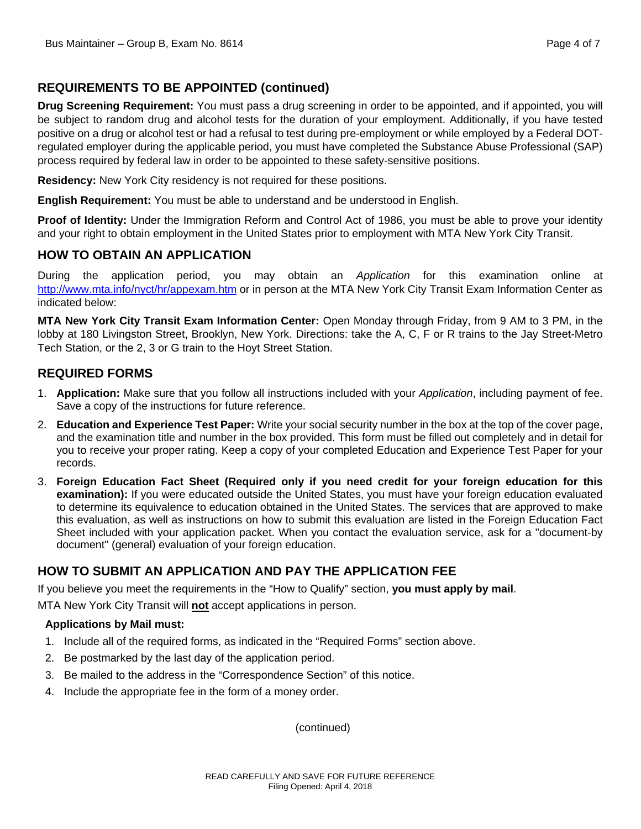# **REQUIREMENTS TO BE APPOINTED (continued)**

**Drug Screening Requirement:** You must pass a drug screening in order to be appointed, and if appointed, you will be subject to random drug and alcohol tests for the duration of your employment. Additionally, if you have tested positive on a drug or alcohol test or had a refusal to test during pre-employment or while employed by a Federal DOTregulated employer during the applicable period, you must have completed the Substance Abuse Professional (SAP) process required by federal law in order to be appointed to these safety-sensitive positions.

**Residency:** New York City residency is not required for these positions.

**English Requirement:** You must be able to understand and be understood in English.

**Proof of Identity:** Under the Immigration Reform and Control Act of 1986, you must be able to prove your identity and your right to obtain employment in the United States prior to employment with MTA New York City Transit.

#### **HOW TO OBTAIN AN APPLICATION**

During the application period, you may obtain an *Application* for this examination online at http://www.mta.info/nyct/hr/appexam.htm or in person at the MTA New York City Transit Exam Information Center as indicated below:

**MTA New York City Transit Exam Information Center:** Open Monday through Friday, from 9 AM to 3 PM, in the lobby at 180 Livingston Street, Brooklyn, New York. Directions: take the A, C, F or R trains to the Jay Street-Metro Tech Station, or the 2, 3 or G train to the Hoyt Street Station.

## **REQUIRED FORMS**

- 1. **Application:** Make sure that you follow all instructions included with your *Application*, including payment of fee. Save a copy of the instructions for future reference.
- 2. **Education and Experience Test Paper:** Write your social security number in the box at the top of the cover page, and the examination title and number in the box provided. This form must be filled out completely and in detail for you to receive your proper rating. Keep a copy of your completed Education and Experience Test Paper for your records.
- 3. **Foreign Education Fact Sheet (Required only if you need credit for your foreign education for this examination):** If you were educated outside the United States, you must have your foreign education evaluated to determine its equivalence to education obtained in the United States. The services that are approved to make this evaluation, as well as instructions on how to submit this evaluation are listed in the Foreign Education Fact Sheet included with your application packet. When you contact the evaluation service, ask for a "document-by document" (general) evaluation of your foreign education.

## **HOW TO SUBMIT AN APPLICATION AND PAY THE APPLICATION FEE**

If you believe you meet the requirements in the "How to Qualify" section, **you must apply by mail**.

MTA New York City Transit will **not** accept applications in person.

#### **Applications by Mail must:**

- 1. Include all of the required forms, as indicated in the "Required Forms" section above.
- 2. Be postmarked by the last day of the application period.
- 3. Be mailed to the address in the "Correspondence Section" of this notice.
- 4. Include the appropriate fee in the form of a money order.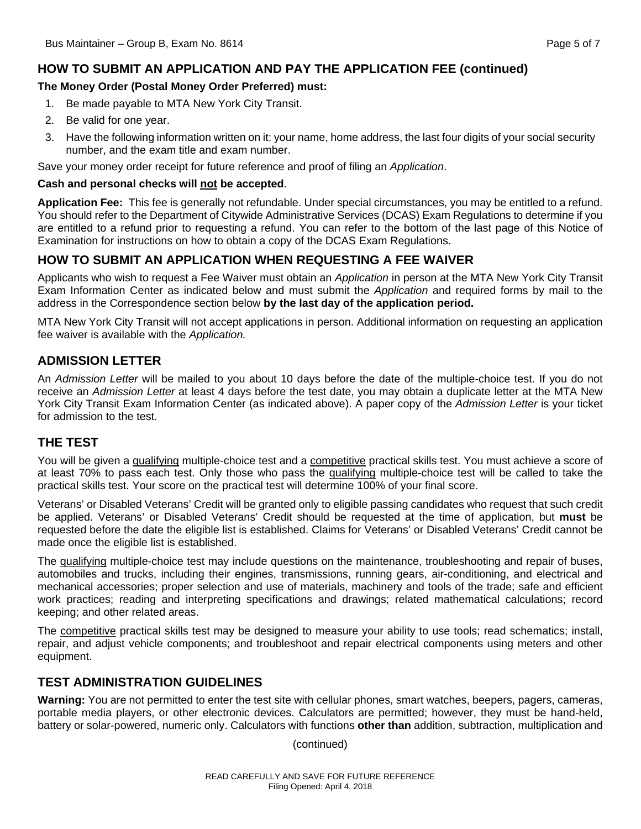## **HOW TO SUBMIT AN APPLICATION AND PAY THE APPLICATION FEE (continued)**

#### **The Money Order (Postal Money Order Preferred) must:**

- 1. Be made payable to MTA New York City Transit.
- 2. Be valid for one year.
- 3. Have the following information written on it: your name, home address, the last four digits of your social security number, and the exam title and exam number.

Save your money order receipt for future reference and proof of filing an *Application*.

#### **Cash and personal checks will not be accepted**.

**Application Fee:** This fee is generally not refundable. Under special circumstances, you may be entitled to a refund. You should refer to the Department of Citywide Administrative Services (DCAS) Exam Regulations to determine if you are entitled to a refund prior to requesting a refund. You can refer to the bottom of the last page of this Notice of Examination for instructions on how to obtain a copy of the DCAS Exam Regulations.

#### **HOW TO SUBMIT AN APPLICATION WHEN REQUESTING A FEE WAIVER**

Applicants who wish to request a Fee Waiver must obtain an *Application* in person at the MTA New York City Transit Exam Information Center as indicated below and must submit the *Application* and required forms by mail to the address in the Correspondence section below **by the last day of the application period.**

MTA New York City Transit will not accept applications in person. Additional information on requesting an application fee waiver is available with the *Application.* 

#### **ADMISSION LETTER**

An *Admission Letter* will be mailed to you about 10 days before the date of the multiple-choice test. If you do not receive an *Admission Letter* at least 4 days before the test date, you may obtain a duplicate letter at the MTA New York City Transit Exam Information Center (as indicated above). A paper copy of the *Admission Letter* is your ticket for admission to the test.

#### **THE TEST**

You will be given a qualifying multiple-choice test and a competitive practical skills test. You must achieve a score of at least 70% to pass each test. Only those who pass the qualifying multiple-choice test will be called to take the practical skills test. Your score on the practical test will determine 100% of your final score.

Veterans' or Disabled Veterans' Credit will be granted only to eligible passing candidates who request that such credit be applied. Veterans' or Disabled Veterans' Credit should be requested at the time of application, but **must** be requested before the date the eligible list is established. Claims for Veterans' or Disabled Veterans' Credit cannot be made once the eligible list is established.

The qualifying multiple-choice test may include questions on the maintenance, troubleshooting and repair of buses, automobiles and trucks, including their engines, transmissions, running gears, air-conditioning, and electrical and mechanical accessories; proper selection and use of materials, machinery and tools of the trade; safe and efficient work practices; reading and interpreting specifications and drawings; related mathematical calculations; record keeping; and other related areas.

The competitive practical skills test may be designed to measure your ability to use tools; read schematics; install, repair, and adjust vehicle components; and troubleshoot and repair electrical components using meters and other equipment.

#### **TEST ADMINISTRATION GUIDELINES**

**Warning:** You are not permitted to enter the test site with cellular phones, smart watches, beepers, pagers, cameras, portable media players, or other electronic devices. Calculators are permitted; however, they must be hand-held, battery or solar-powered, numeric only. Calculators with functions **other than** addition, subtraction, multiplication and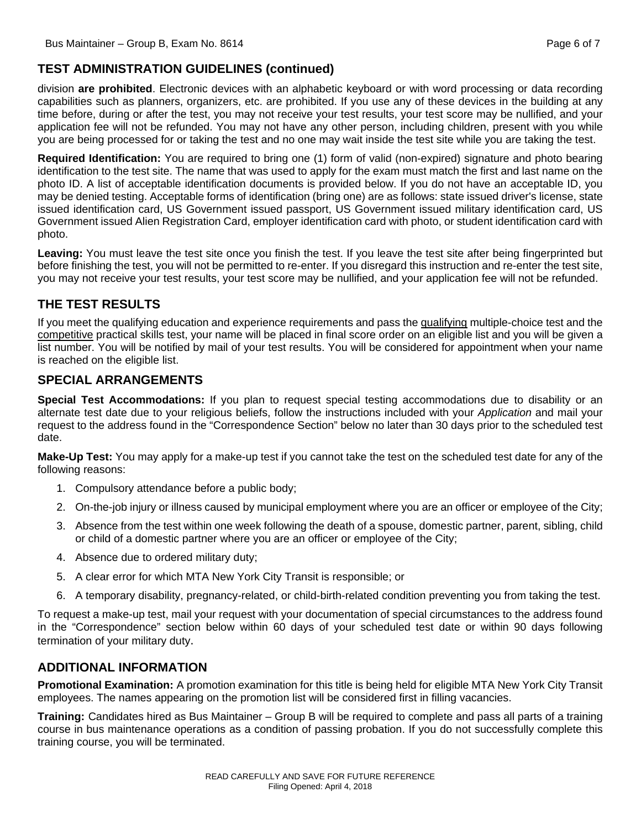# **TEST ADMINISTRATION GUIDELINES (continued)**

division **are prohibited**. Electronic devices with an alphabetic keyboard or with word processing or data recording capabilities such as planners, organizers, etc. are prohibited. If you use any of these devices in the building at any time before, during or after the test, you may not receive your test results, your test score may be nullified, and your application fee will not be refunded. You may not have any other person, including children, present with you while you are being processed for or taking the test and no one may wait inside the test site while you are taking the test.

**Required Identification:** You are required to bring one (1) form of valid (non-expired) signature and photo bearing identification to the test site. The name that was used to apply for the exam must match the first and last name on the photo ID. A list of acceptable identification documents is provided below. If you do not have an acceptable ID, you may be denied testing. Acceptable forms of identification (bring one) are as follows: state issued driver's license, state issued identification card, US Government issued passport, US Government issued military identification card, US Government issued Alien Registration Card, employer identification card with photo, or student identification card with photo.

**Leaving:** You must leave the test site once you finish the test. If you leave the test site after being fingerprinted but before finishing the test, you will not be permitted to re-enter. If you disregard this instruction and re-enter the test site, you may not receive your test results, your test score may be nullified, and your application fee will not be refunded.

# **THE TEST RESULTS**

If you meet the qualifying education and experience requirements and pass the qualifying multiple-choice test and the competitive practical skills test, your name will be placed in final score order on an eligible list and you will be given a list number. You will be notified by mail of your test results. You will be considered for appointment when your name is reached on the eligible list.

## **SPECIAL ARRANGEMENTS**

**Special Test Accommodations:** If you plan to request special testing accommodations due to disability or an alternate test date due to your religious beliefs, follow the instructions included with your *Application* and mail your request to the address found in the "Correspondence Section" below no later than 30 days prior to the scheduled test date.

**Make-Up Test:** You may apply for a make-up test if you cannot take the test on the scheduled test date for any of the following reasons:

- 1. Compulsory attendance before a public body;
- 2. On-the-job injury or illness caused by municipal employment where you are an officer or employee of the City;
- 3. Absence from the test within one week following the death of a spouse, domestic partner, parent, sibling, child or child of a domestic partner where you are an officer or employee of the City;
- 4. Absence due to ordered military duty;
- 5. A clear error for which MTA New York City Transit is responsible; or
- 6. A temporary disability, pregnancy-related, or child-birth-related condition preventing you from taking the test.

To request a make-up test, mail your request with your documentation of special circumstances to the address found in the "Correspondence" section below within 60 days of your scheduled test date or within 90 days following termination of your military duty.

## **ADDITIONAL INFORMATION**

**Promotional Examination:** A promotion examination for this title is being held for eligible MTA New York City Transit employees. The names appearing on the promotion list will be considered first in filling vacancies.

**Training:** Candidates hired as Bus Maintainer – Group B will be required to complete and pass all parts of a training course in bus maintenance operations as a condition of passing probation. If you do not successfully complete this training course, you will be terminated.